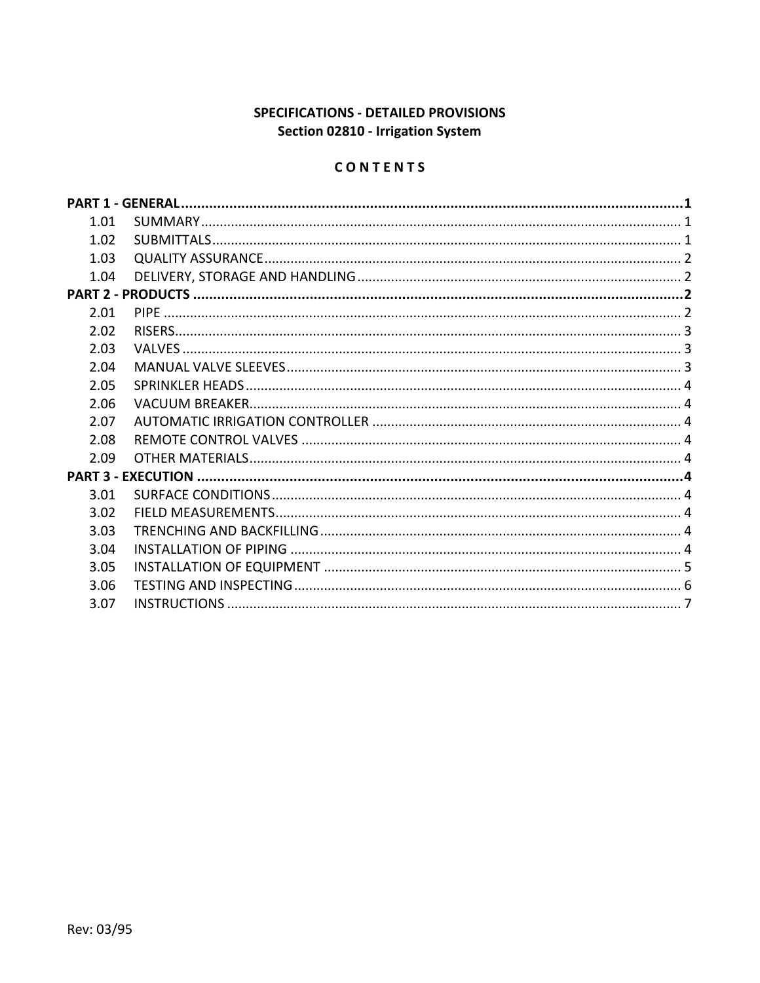# SPECIFICATIONS - DETAILED PROVISIONS Section 02810 - Irrigation System

# CONTENTS

| 1.01 |  |  |
|------|--|--|
| 1.02 |  |  |
| 1.03 |  |  |
| 1.04 |  |  |
|      |  |  |
| 2.01 |  |  |
| 2.02 |  |  |
| 2.03 |  |  |
| 2.04 |  |  |
| 2.05 |  |  |
| 2.06 |  |  |
| 2.07 |  |  |
| 2.08 |  |  |
| 2.09 |  |  |
|      |  |  |
| 3.01 |  |  |
| 3.02 |  |  |
| 3.03 |  |  |
| 3.04 |  |  |
| 3.05 |  |  |
| 3.06 |  |  |
| 3.07 |  |  |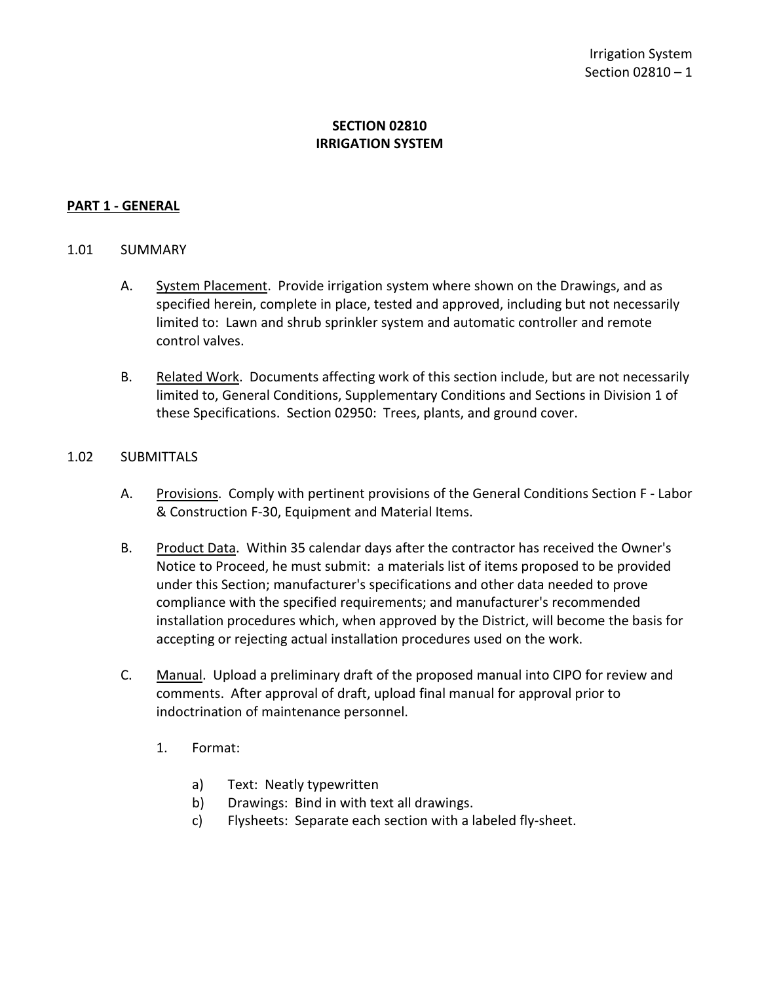# **SECTION 02810 IRRIGATION SYSTEM**

#### <span id="page-2-0"></span>**PART 1 - GENERAL**

#### <span id="page-2-1"></span>1.01 SUMMARY

- A. System Placement. Provide irrigation system where shown on the Drawings, and as specified herein, complete in place, tested and approved, including but not necessarily limited to: Lawn and shrub sprinkler system and automatic controller and remote control valves.
- B. Related Work. Documents affecting work of this section include, but are not necessarily limited to, General Conditions, Supplementary Conditions and Sections in Division 1 of these Specifications. Section 02950: Trees, plants, and ground cover.

#### <span id="page-2-2"></span>1.02 SUBMITTALS

- A. Provisions. Comply with pertinent provisions of the General Conditions Section F Labor & Construction F-30, Equipment and Material Items.
- B. Product Data. Within 35 calendar days after the contractor has received the Owner's Notice to Proceed, he must submit: a materials list of items proposed to be provided under this Section; manufacturer's specifications and other data needed to prove compliance with the specified requirements; and manufacturer's recommended installation procedures which, when approved by the District, will become the basis for accepting or rejecting actual installation procedures used on the work.
- C. Manual. Upload a preliminary draft of the proposed manual into CIPO for review and comments. After approval of draft, upload final manual for approval prior to indoctrination of maintenance personnel.
	- 1. Format:
		- a) Text: Neatly typewritten
		- b) Drawings: Bind in with text all drawings.
		- c) Flysheets: Separate each section with a labeled fly-sheet.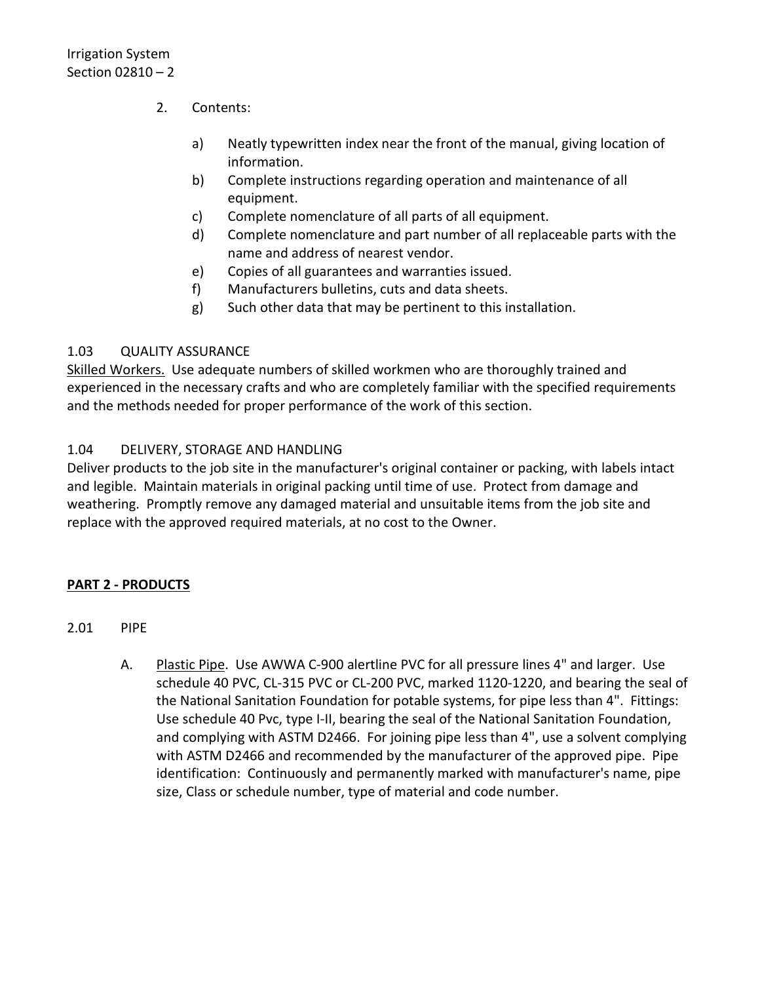- 2. Contents:
	- a) Neatly typewritten index near the front of the manual, giving location of information.
	- b) Complete instructions regarding operation and maintenance of all equipment.
	- c) Complete nomenclature of all parts of all equipment.
	- d) Complete nomenclature and part number of all replaceable parts with the name and address of nearest vendor.
	- e) Copies of all guarantees and warranties issued.
	- f) Manufacturers bulletins, cuts and data sheets.
	- g) Such other data that may be pertinent to this installation.

## <span id="page-3-0"></span>1.03 QUALITY ASSURANCE

Skilled Workers. Use adequate numbers of skilled workmen who are thoroughly trained and experienced in the necessary crafts and who are completely familiar with the specified requirements and the methods needed for proper performance of the work of this section.

## <span id="page-3-1"></span>1.04 DELIVERY, STORAGE AND HANDLING

Deliver products to the job site in the manufacturer's original container or packing, with labels intact and legible. Maintain materials in original packing until time of use. Protect from damage and weathering. Promptly remove any damaged material and unsuitable items from the job site and replace with the approved required materials, at no cost to the Owner.

## <span id="page-3-2"></span>**PART 2 - PRODUCTS**

- <span id="page-3-3"></span>2.01 PIPE
	- A. Plastic Pipe. Use AWWA C-900 alertline PVC for all pressure lines 4" and larger. Use schedule 40 PVC, CL-315 PVC or CL-200 PVC, marked 1120-1220, and bearing the seal of the National Sanitation Foundation for potable systems, for pipe less than 4". Fittings: Use schedule 40 Pvc, type I-II, bearing the seal of the National Sanitation Foundation, and complying with ASTM D2466. For joining pipe less than 4", use a solvent complying with ASTM D2466 and recommended by the manufacturer of the approved pipe. Pipe identification: Continuously and permanently marked with manufacturer's name, pipe size, Class or schedule number, type of material and code number.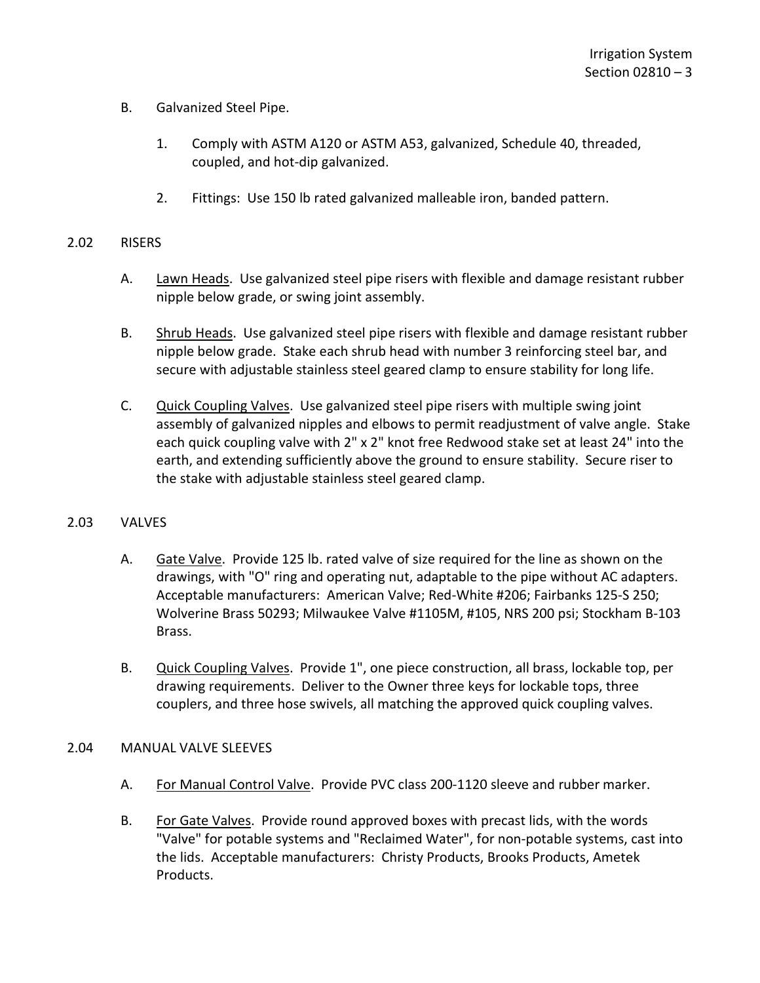- B. Galvanized Steel Pipe.
	- 1. Comply with ASTM A120 or ASTM A53, galvanized, Schedule 40, threaded, coupled, and hot-dip galvanized.
	- 2. Fittings: Use 150 lb rated galvanized malleable iron, banded pattern.

#### <span id="page-4-0"></span>2.02 RISERS

- A. Lawn Heads. Use galvanized steel pipe risers with flexible and damage resistant rubber nipple below grade, or swing joint assembly.
- B. Shrub Heads. Use galvanized steel pipe risers with flexible and damage resistant rubber nipple below grade. Stake each shrub head with number 3 reinforcing steel bar, and secure with adjustable stainless steel geared clamp to ensure stability for long life.
- C. Quick Coupling Valves. Use galvanized steel pipe risers with multiple swing joint assembly of galvanized nipples and elbows to permit readjustment of valve angle. Stake each quick coupling valve with 2" x 2" knot free Redwood stake set at least 24" into the earth, and extending sufficiently above the ground to ensure stability. Secure riser to the stake with adjustable stainless steel geared clamp.

## <span id="page-4-1"></span>2.03 VALVES

- A. Gate Valve. Provide 125 lb. rated valve of size required for the line as shown on the drawings, with "O" ring and operating nut, adaptable to the pipe without AC adapters. Acceptable manufacturers: American Valve; Red-White #206; Fairbanks 125-S 250; Wolverine Brass 50293; Milwaukee Valve #1105M, #105, NRS 200 psi; Stockham B-103 Brass.
- B. Quick Coupling Valves. Provide 1", one piece construction, all brass, lockable top, per drawing requirements. Deliver to the Owner three keys for lockable tops, three couplers, and three hose swivels, all matching the approved quick coupling valves.

## <span id="page-4-2"></span>2.04 MANUAL VALVE SLEEVES

- A. For Manual Control Valve. Provide PVC class 200-1120 sleeve and rubber marker.
- B. For Gate Valves. Provide round approved boxes with precast lids, with the words "Valve" for potable systems and "Reclaimed Water", for non-potable systems, cast into the lids. Acceptable manufacturers: Christy Products, Brooks Products, Ametek Products.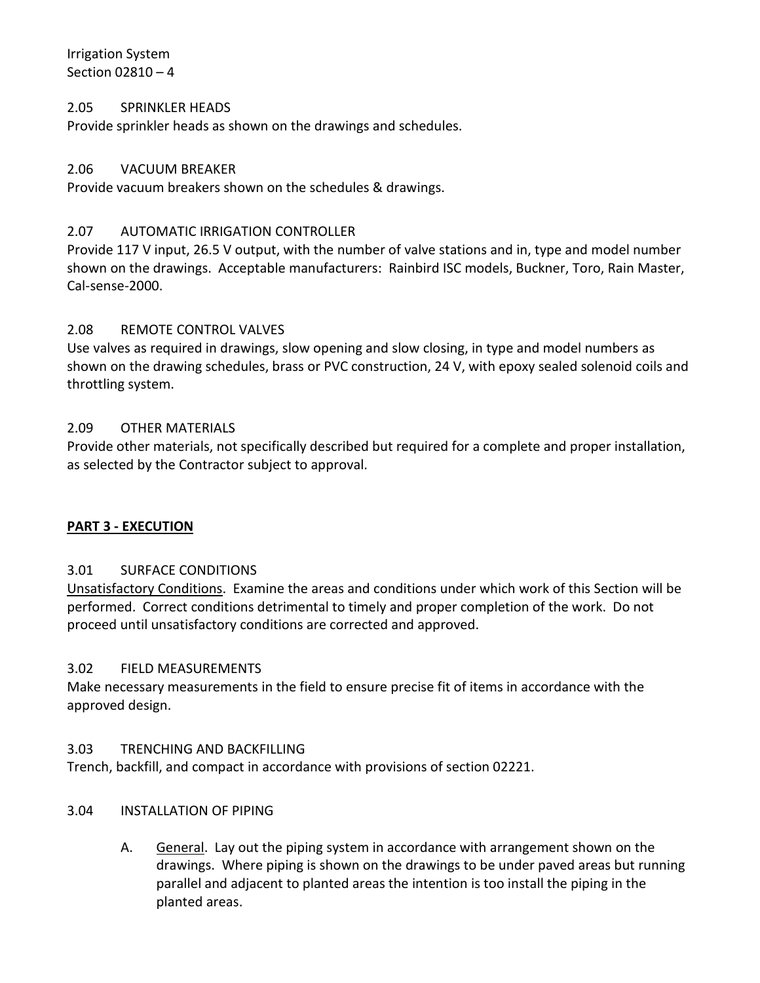Irrigation System Section 02810 – 4

#### <span id="page-5-0"></span>2.05 SPRINKLER HEADS

Provide sprinkler heads as shown on the drawings and schedules.

#### <span id="page-5-1"></span>2.06 VACUUM BREAKER

Provide vacuum breakers shown on the schedules & drawings.

#### <span id="page-5-2"></span>2.07 AUTOMATIC IRRIGATION CONTROLLER

Provide 117 V input, 26.5 V output, with the number of valve stations and in, type and model number shown on the drawings. Acceptable manufacturers: Rainbird ISC models, Buckner, Toro, Rain Master, Cal-sense-2000.

#### <span id="page-5-3"></span>2.08 REMOTE CONTROL VALVES

Use valves as required in drawings, slow opening and slow closing, in type and model numbers as shown on the drawing schedules, brass or PVC construction, 24 V, with epoxy sealed solenoid coils and throttling system.

#### <span id="page-5-4"></span>2.09 OTHER MATERIALS

Provide other materials, not specifically described but required for a complete and proper installation, as selected by the Contractor subject to approval.

#### <span id="page-5-5"></span>**PART 3 - EXECUTION**

## <span id="page-5-6"></span>3.01 SURFACE CONDITIONS

Unsatisfactory Conditions. Examine the areas and conditions under which work of this Section will be performed. Correct conditions detrimental to timely and proper completion of the work. Do not proceed until unsatisfactory conditions are corrected and approved.

#### <span id="page-5-7"></span>3.02 FIELD MEASUREMENTS

Make necessary measurements in the field to ensure precise fit of items in accordance with the approved design.

#### <span id="page-5-8"></span>3.03 TRENCHING AND BACKFILLING

Trench, backfill, and compact in accordance with provisions of section 02221.

#### <span id="page-5-9"></span>3.04 INSTALLATION OF PIPING

A. General. Lay out the piping system in accordance with arrangement shown on the drawings. Where piping is shown on the drawings to be under paved areas but running parallel and adjacent to planted areas the intention is too install the piping in the planted areas.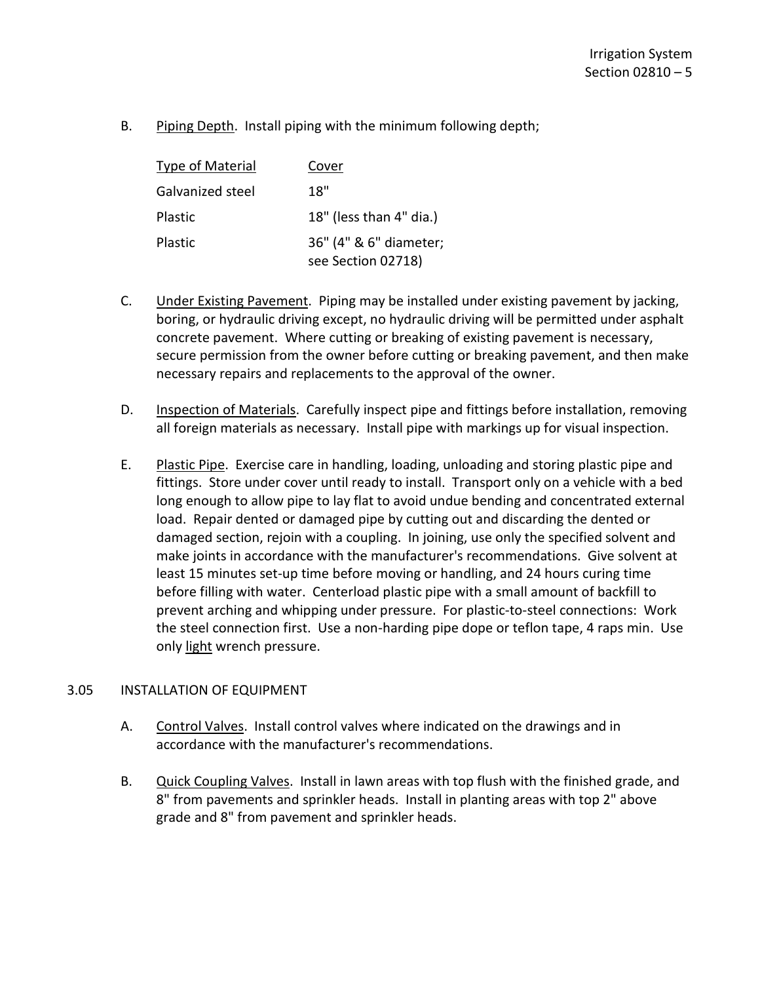B. Piping Depth. Install piping with the minimum following depth;

| <b>Type of Material</b> | Cover                                        |
|-------------------------|----------------------------------------------|
| Galvanized steel        | 18"                                          |
| Plastic                 | 18" (less than 4" dia.)                      |
| Plastic                 | 36" (4" & 6" diameter;<br>see Section 02718) |

- C. Under Existing Pavement. Piping may be installed under existing pavement by jacking, boring, or hydraulic driving except, no hydraulic driving will be permitted under asphalt concrete pavement. Where cutting or breaking of existing pavement is necessary, secure permission from the owner before cutting or breaking pavement, and then make necessary repairs and replacements to the approval of the owner.
- D. Inspection of Materials. Carefully inspect pipe and fittings before installation, removing all foreign materials as necessary. Install pipe with markings up for visual inspection.
- E. Plastic Pipe. Exercise care in handling, loading, unloading and storing plastic pipe and fittings. Store under cover until ready to install. Transport only on a vehicle with a bed long enough to allow pipe to lay flat to avoid undue bending and concentrated external load. Repair dented or damaged pipe by cutting out and discarding the dented or damaged section, rejoin with a coupling. In joining, use only the specified solvent and make joints in accordance with the manufacturer's recommendations. Give solvent at least 15 minutes set-up time before moving or handling, and 24 hours curing time before filling with water. Centerload plastic pipe with a small amount of backfill to prevent arching and whipping under pressure. For plastic-to-steel connections: Work the steel connection first. Use a non-harding pipe dope or teflon tape, 4 raps min. Use only light wrench pressure.

#### <span id="page-6-0"></span>3.05 INSTALLATION OF EQUIPMENT

- A. Control Valves. Install control valves where indicated on the drawings and in accordance with the manufacturer's recommendations.
- B. Quick Coupling Valves. Install in lawn areas with top flush with the finished grade, and 8" from pavements and sprinkler heads. Install in planting areas with top 2" above grade and 8" from pavement and sprinkler heads.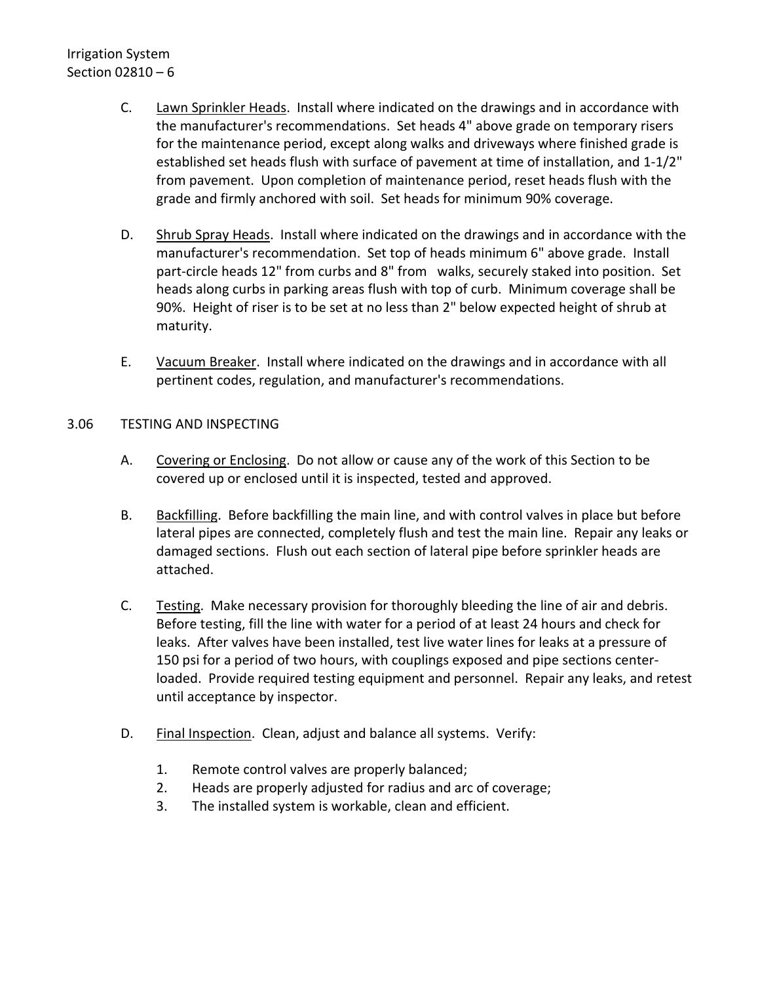# Irrigation System Section 02810 – 6

- C. Lawn Sprinkler Heads. Install where indicated on the drawings and in accordance with the manufacturer's recommendations. Set heads 4" above grade on temporary risers for the maintenance period, except along walks and driveways where finished grade is established set heads flush with surface of pavement at time of installation, and 1-1/2" from pavement. Upon completion of maintenance period, reset heads flush with the grade and firmly anchored with soil. Set heads for minimum 90% coverage.
- D. Shrub Spray Heads. Install where indicated on the drawings and in accordance with the manufacturer's recommendation. Set top of heads minimum 6" above grade. Install part-circle heads 12" from curbs and 8" from walks, securely staked into position. Set heads along curbs in parking areas flush with top of curb. Minimum coverage shall be 90%. Height of riser is to be set at no less than 2" below expected height of shrub at maturity.
- E. Vacuum Breaker. Install where indicated on the drawings and in accordance with all pertinent codes, regulation, and manufacturer's recommendations.

## <span id="page-7-0"></span>3.06 TESTING AND INSPECTING

- A. Covering or Enclosing. Do not allow or cause any of the work of this Section to be covered up or enclosed until it is inspected, tested and approved.
- B. Backfilling. Before backfilling the main line, and with control valves in place but before lateral pipes are connected, completely flush and test the main line. Repair any leaks or damaged sections. Flush out each section of lateral pipe before sprinkler heads are attached.
- C. Testing. Make necessary provision for thoroughly bleeding the line of air and debris. Before testing, fill the line with water for a period of at least 24 hours and check for leaks. After valves have been installed, test live water lines for leaks at a pressure of 150 psi for a period of two hours, with couplings exposed and pipe sections centerloaded. Provide required testing equipment and personnel. Repair any leaks, and retest until acceptance by inspector.
- D. Final Inspection. Clean, adjust and balance all systems. Verify:
	- 1. Remote control valves are properly balanced;
	- 2. Heads are properly adjusted for radius and arc of coverage;
	- 3. The installed system is workable, clean and efficient.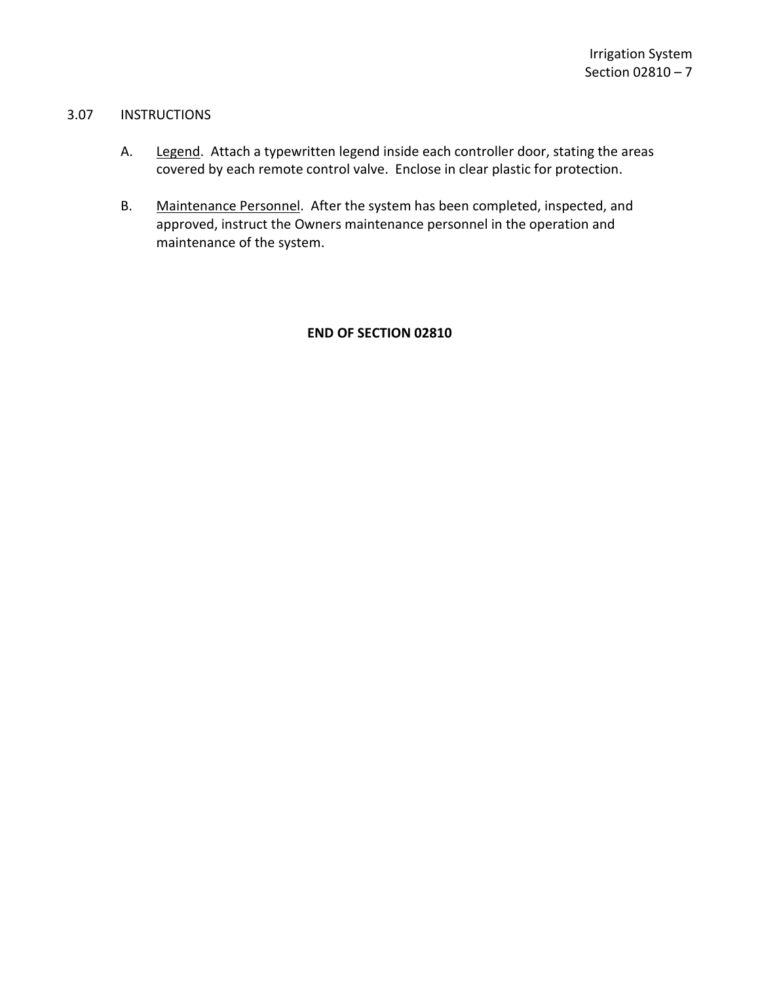## <span id="page-8-0"></span>3.07 INSTRUCTIONS

- A. Legend. Attach a typewritten legend inside each controller door, stating the areas covered by each remote control valve. Enclose in clear plastic for protection.
- B. Maintenance Personnel. After the system has been completed, inspected, and approved, instruct the Owners maintenance personnel in the operation and maintenance of the system.

## **END OF SECTION 02810**